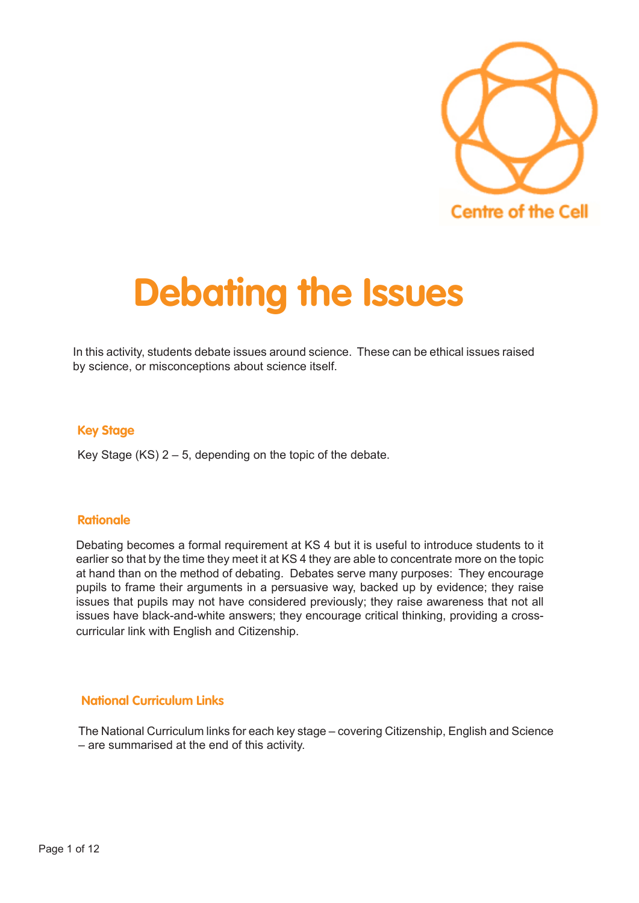

# **Debating the Issues**

In this activity, students debate issues around science. These can be ethical issues raised by science, or misconceptions about science itself.

## **Key Stage**

Key Stage  $(KS)$  2 – 5, depending on the topic of the debate.

## **Rationale**

Debating becomes a formal requirement at KS 4 but it is useful to introduce students to it earlier so that by the time they meet it at KS 4 they are able to concentrate more on the topic at hand than on the method of debating. Debates serve many purposes: They encourage pupils to frame their arguments in a persuasive way, backed up by evidence; they raise issues that pupils may not have considered previously; they raise awareness that not all issues have black-and-white answers; they encourage critical thinking, providing a crosscurricular link with English and Citizenship.

## **National Curriculum Links**

The National Curriculum links for each key stage – covering Citizenship, English and Science – are summarised at the end of this activity.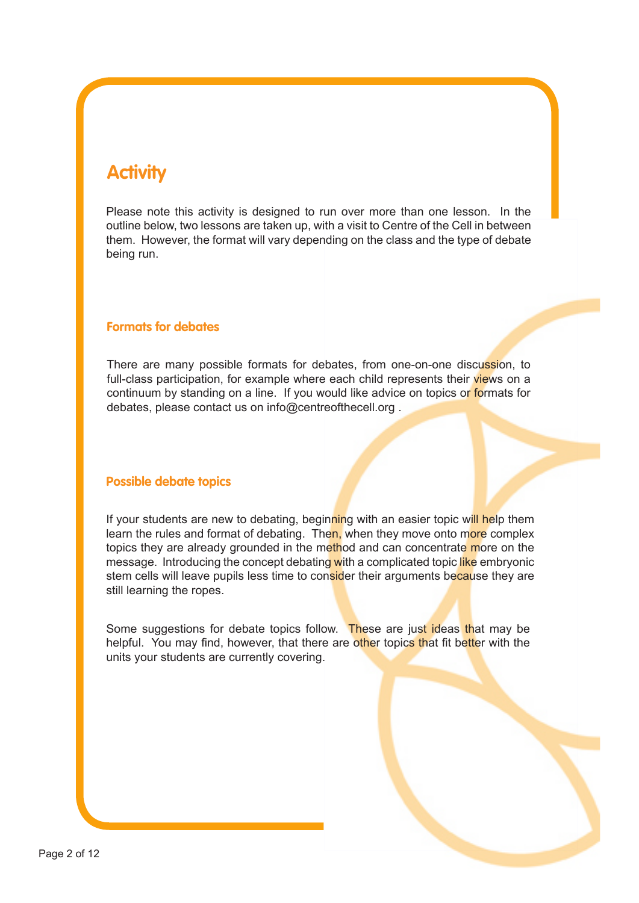# **Activity**

Please note this activity is designed to run over more than one lesson. In the outline below, two lessons are taken up, with a visit to Centre of the Cell in between them. However, the format will vary depending on the class and the type of debate being run.

# **Formats for debates**

There are many possible formats for debates, from one-on-one discussion, to full-class participation, for example where each child represents their views on a continuum by standing on a line. If you would like advice on topics or formats for debates, please contact us on info@centreofthecell.org .

## **Possible debate topics**

If your students are new to debating, beginning with an easier topic will help them learn the rules and format of debating. Then, when they move onto more complex topics they are already grounded in the method and can concentrate more on the message. Introducing the concept debating with a complicated topic like embryonic stem cells will leave pupils less time to consider their arguments because they are still learning the ropes.

Some suggestions for debate topics follow. These are just ideas that may be helpful. You may find, however, that there are other topics that fit better with the units your students are currently covering.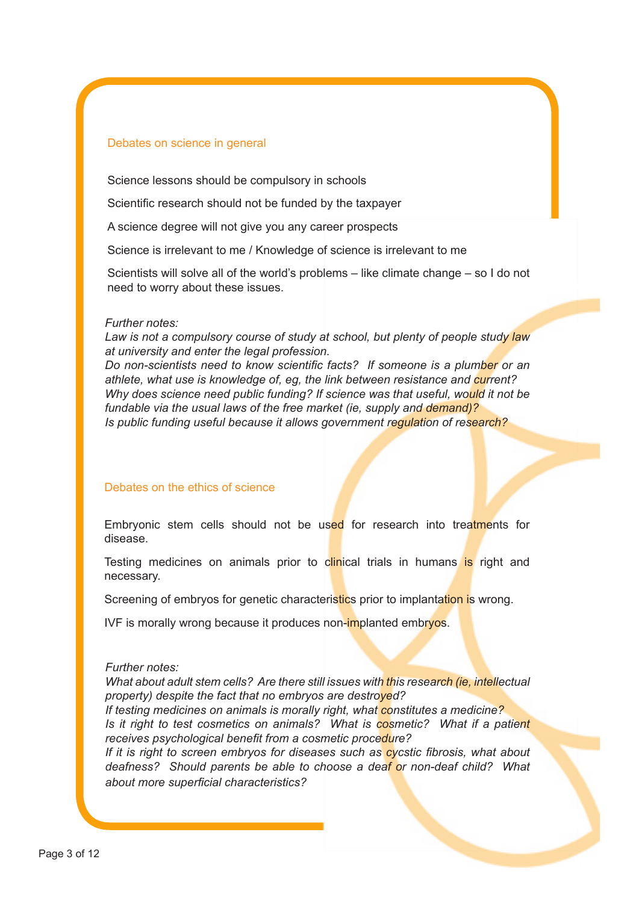#### Debates on science in general

Science lessons should be compulsory in schools

Scientific research should not be funded by the taxpayer

A science degree will not give you any career prospects

Science is irrelevant to me / Knowledge of science is irrelevant to me

Scientists will solve all of the world's problems – like climate change – so I do not need to worry about these issues.

#### *Further notes:*

*Law is not a compulsory course of study at school, but plenty of people study law at university and enter the legal profession.*

*Do non-scientists need to know scientific facts? If someone is a plumber or an athlete, what use is knowledge of, eg, the link between resistance and current? Why does science need public funding? If science was that useful, would it not be fundable via the usual laws of the free market (ie, supply and demand)? Is public funding useful because it allows government regulation of research?*

#### Debates on the ethics of science

Embryonic stem cells should not be used for research into treatments for disease.

Testing medicines on animals prior to clinical trials in humans is right and necessary.

Screening of embryos for genetic characteristics prior to implantation is wrong.

IVF is morally wrong because it produces non-implanted embryos.

#### *Further notes:*

*What about adult stem cells? Are there still issues with this research (ie, intellectual property) despite the fact that no embryos are destroyed? If testing medicines on animals is morally right, what constitutes a medicine? Is it right to test cosmetics on animals? What is cosmetic? What if a patient receives psychological benefit from a cosmetic procedure? If it is right to screen embryos for diseases such as cycstic fibrosis, what about deafness? Should parents be able to choose a deaf or non-deaf child? What about more superficial characteristics?*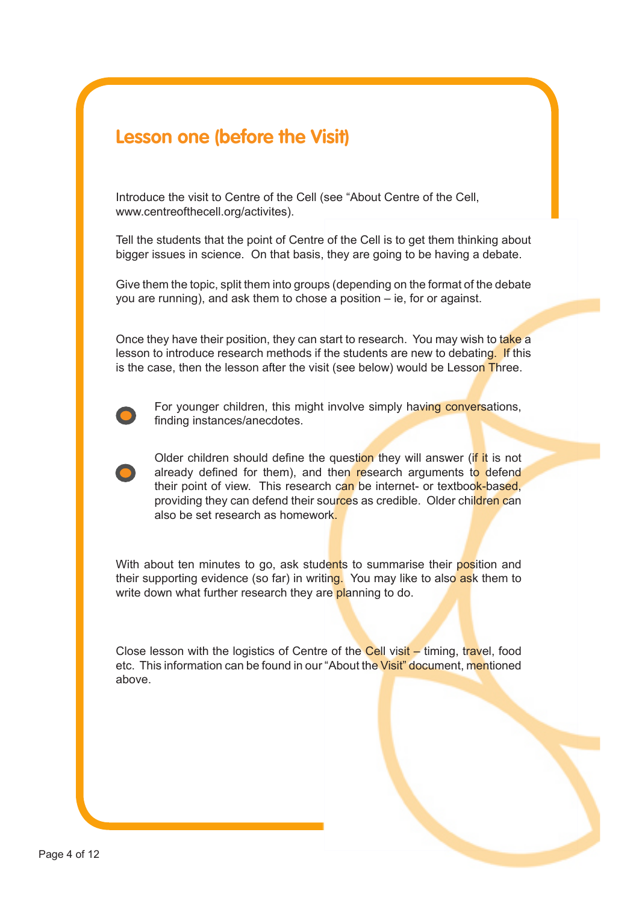# **Lesson one (before the Visit)**

Introduce the visit to Centre of the Cell (see "About Centre of the Cell, www.centreofthecell.org/activites).

Tell the students that the point of Centre of the Cell is to get them thinking about bigger issues in science. On that basis, they are going to be having a debate.

Give them the topic, split them into groups (depending on the format of the debate you are running), and ask them to chose a position – ie, for or against.

Once they have their position, they can start to research. You may wish to take a lesson to introduce research methods if the students are new to debating. If this is the case, then the lesson after the visit (see below) would be Lesson Three.



For younger children, this might involve simply having conversations, finding instances/anecdotes.

Older children should define the question they will answer (if it is not already defined for them), and then research arguments to defend their point of view. This research can be internet- or textbook-based, providing they can defend their sources as credible. Older children can also be set research as homework.

With about ten minutes to go, ask students to summarise their position and their supporting evidence (so far) in writing. You may like to also ask them to write down what further research they are planning to do.

Close lesson with the logistics of Centre of the Cell visit – timing, travel, food etc. This information can be found in our "About the Visit" document, mentioned above.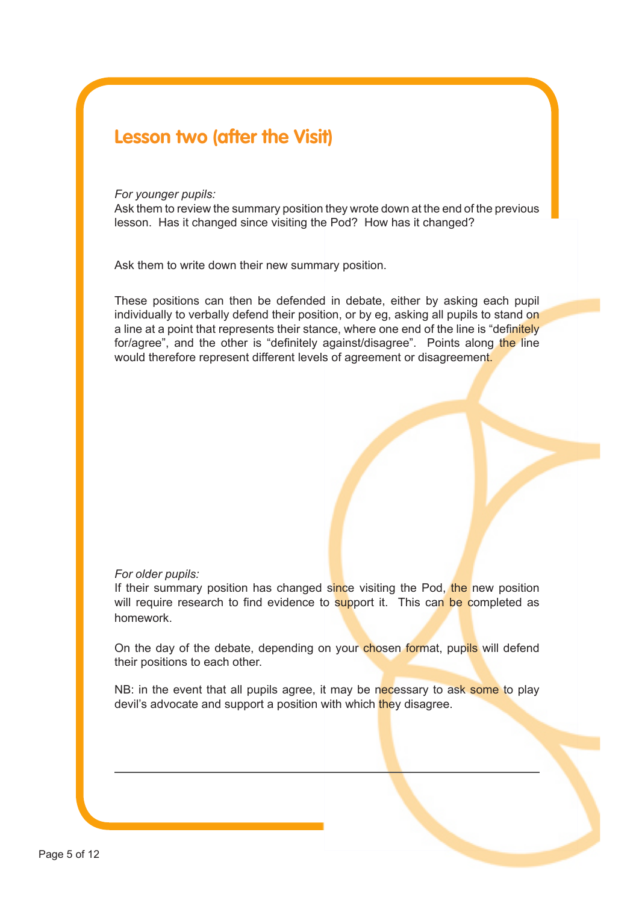# **Lesson two (after the Visit)**

#### *For younger pupils:*

Ask them to review the summary position they wrote down at the end of the previous lesson. Has it changed since visiting the Pod? How has it changed?

Ask them to write down their new summary position.

These positions can then be defended in debate, either by asking each pupil individually to verbally defend their position, or by eg, asking all pupils to stand on a line at a point that represents their stance, where one end of the line is "definitely" for/agree", and the other is "definitely against/disagree". Points along the line would therefore represent different levels of agreement or disagreement.

#### *For older pupils:*

If their summary position has changed since visiting the Pod, the new position will require research to find evidence to support it. This can be completed as homework.

On the day of the debate, depending on your chosen format, pupils will defend their positions to each other.

NB: in the event that all pupils agree, it may be necessary to ask some to play devil's advocate and support a position with which they disagree.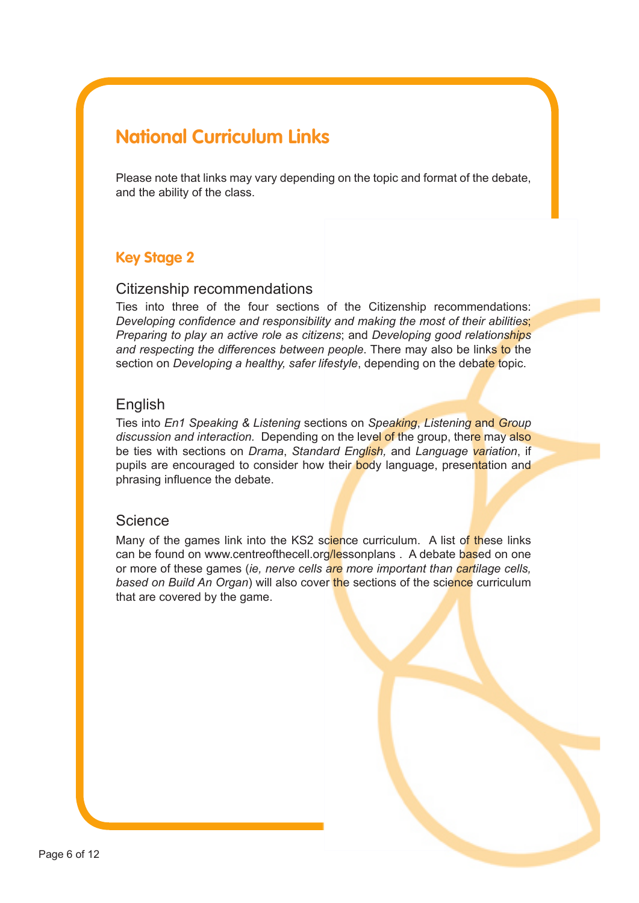# **National Curriculum Links**

Please note that links may vary depending on the topic and format of the debate, and the ability of the class.

# **Key Stage 2**

# Citizenship recommendations

Ties into three of the four sections of the Citizenship recommendations: *Developing confidence and responsibility and making the most of their abilities*; *Preparing to play an active role as citizens*; and *Developing good relationships*  and respecting the differences between people. There may also be links to the section on *Developing a healthy, safer lifestyle*, depending on the debate topic.

# English

Ties into *En1 Speaking & Listening* sections on *Speaking*, *Listening* and *Group discussion and interaction.* Depending on the level of the group, there may also be ties with sections on *Drama*, *Standard English,* and *Language variation*, if pupils are encouraged to consider how their body language, presentation and phrasing influence the debate.

# **Science**

Many of the games link into the KS2 science curriculum. A list of these links can be found on www.centreofthecell.org/lessonplans . A debate based on one or more of these games (*ie, nerve cells are more important than cartilage cells, based on Build An Organ*) will also cover the sections of the science curriculum that are covered by the game.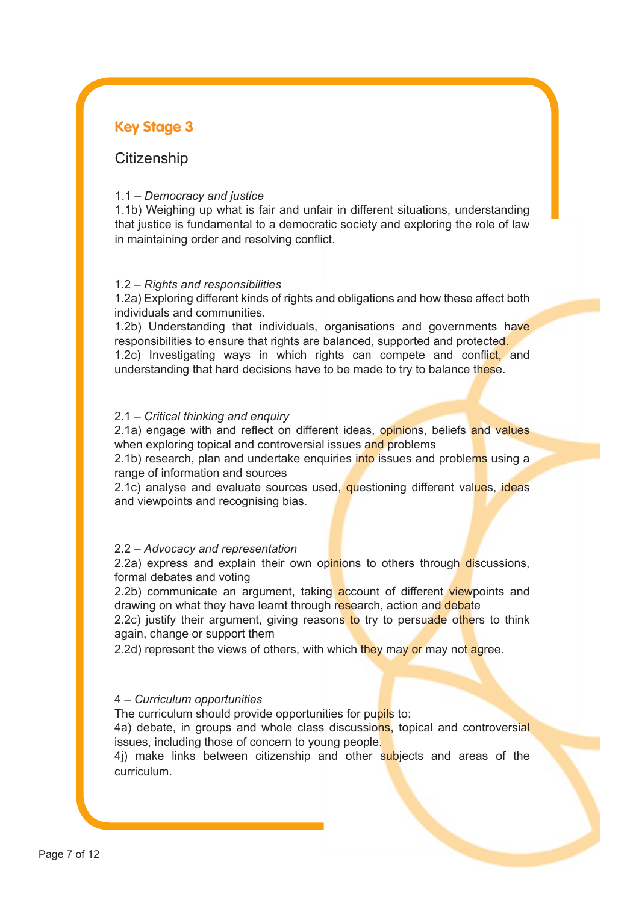# **Key Stage 3**

# **Citizenship**

#### 1.1 – *Democracy and justice*

1.1b) Weighing up what is fair and unfair in different situations, understanding that justice is fundamental to a democratic society and exploring the role of law in maintaining order and resolving conflict.

#### 1.2 – *Rights and responsibilities*

1.2a) Exploring different kinds of rights and obligations and how these affect both individuals and communities.

1.2b) Understanding that individuals, organisations and governments have responsibilities to ensure that rights are balanced, supported and protected. 1.2c) Investigating ways in which rights can compete and conflict, and understanding that hard decisions have to be made to try to balance these.

#### 2.1 – *Critical thinking and enquiry*

2.1a) engage with and reflect on different ideas, opinions, beliefs and values when exploring topical and controversial issues and problems

2.1b) research, plan and undertake enquiries into issues and problems using a range of information and sources

2.1c) analyse and evaluate sources used, questioning different values, ideas and viewpoints and recognising bias.

#### 2.2 – *Advocacy and representation*

2.2a) express and explain their own opinions to others through discussions, formal debates and voting

2.2b) communicate an argument, taking account of different viewpoints and drawing on what they have learnt through research, action and debate

2.2c) justify their argument, giving reasons to try to persuade others to think again, change or support them

2.2d) represent the views of others, with which they may or may not agree.

#### 4 – *Curriculum opportunities*

The curriculum should provide opportunities for pupils to:

4a) debate, in groups and whole class discussions, topical and controversial issues, including those of concern to young people.

4j) make links between citizenship and other subjects and areas of the curriculum.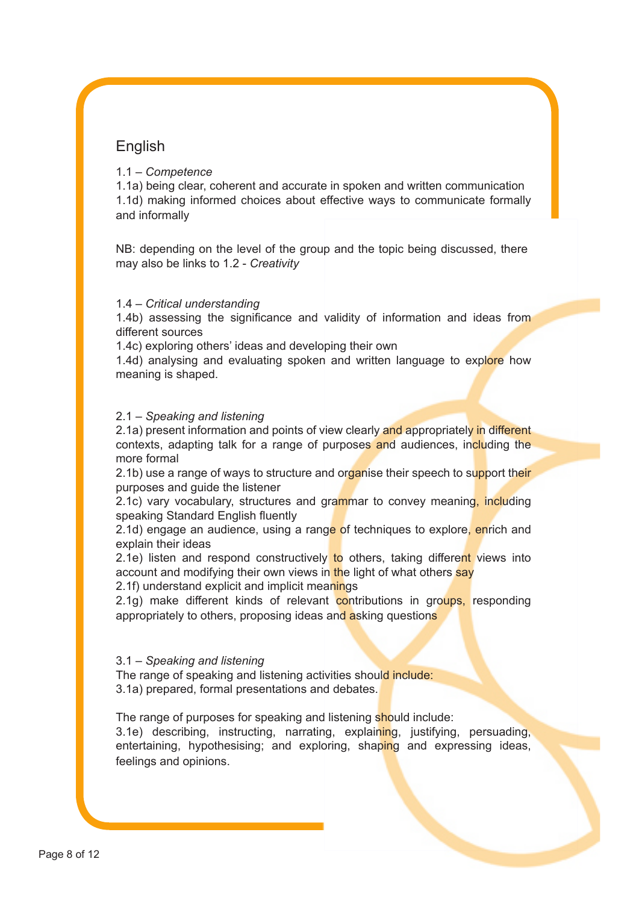# **English**

# 1.1 – *Competence*

1.1a) being clear, coherent and accurate in spoken and written communication 1.1d) making informed choices about effective ways to communicate formally and informally

NB: depending on the level of the group and the topic being discussed, there may also be links to 1.2 - *Creativity*

# 1.4 – *Critical understanding*

1.4b) assessing the significance and validity of information and ideas from different sources

1.4c) exploring others' ideas and developing their own

1.4d) analysing and evaluating spoken and written language to explore how meaning is shaped.

## 2.1 – *Speaking and listening*

2.1a) present information and points of view clearly and appropriately in different contexts, adapting talk for a range of purposes and audiences, including the more formal

2.1b) use a range of ways to structure and organise their speech to support their purposes and guide the listener

2.1c) vary vocabulary, structures and grammar to convey meaning, including speaking Standard English fluently

2.1d) engage an audience, using a range of techniques to explore, enrich and explain their ideas

2.1e) listen and respond constructively to others, taking different views into account and modifying their own views in the light of what others say

2.1f) understand explicit and implicit meanings

2.1g) make different kinds of relevant contributions in groups, responding appropriately to others, proposing ideas and asking questions

## 3.1 – *Speaking and listening*

The range of speaking and listening activities should include: 3.1a) prepared, formal presentations and debates.

The range of purposes for speaking and listening should include: 3.1e) describing, instructing, narrating, explaining, justifying, persuading, entertaining, hypothesising; and exploring, shaping and expressing ideas, feelings and opinions.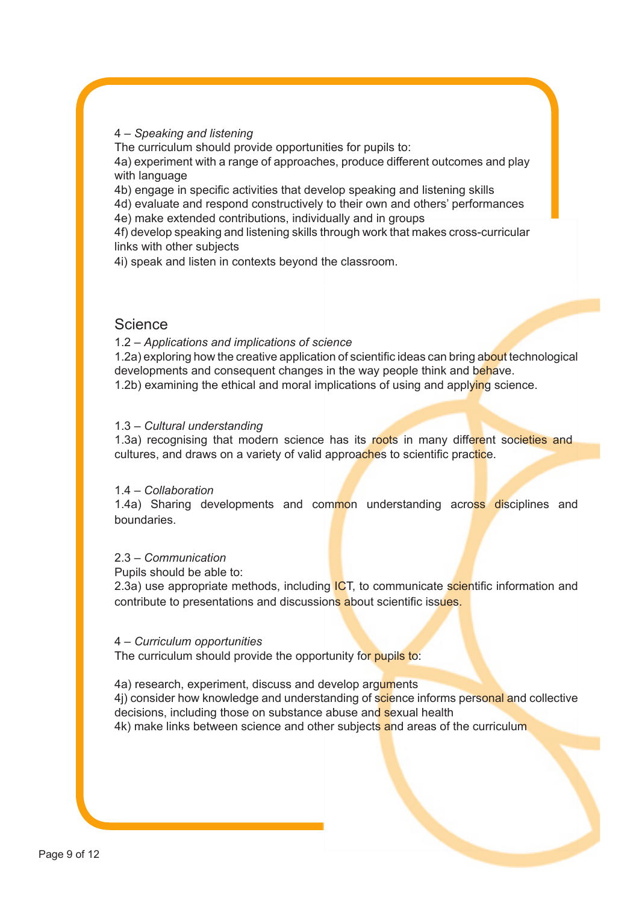#### 4 – *Speaking and listening*

The curriculum should provide opportunities for pupils to:

4a) experiment with a range of approaches, produce different outcomes and play with language

4b) engage in specific activities that develop speaking and listening skills

4d) evaluate and respond constructively to their own and others' performances

4e) make extended contributions, individually and in groups

4f) develop speaking and listening skills through work that makes cross-curricular links with other subjects

4i) speak and listen in contexts beyond the classroom.

# **Science**

1.2 – *Applications and implications of science*

1.2a) exploring how the creative application of scientific ideas can bring about technological developments and consequent changes in the way people think and behave. 1.2b) examining the ethical and moral implications of using and applying science.

#### 1.3 – *Cultural understanding*

1.3a) recognising that modern science has its roots in many different societies and cultures, and draws on a variety of valid approaches to scientific practice.

#### 1.4 – *Collaboration*

1.4a) Sharing developments and common understanding across disciplines and boundaries.

#### 2.3 – *Communication*

Pupils should be able to:

2.3a) use appropriate methods, including **ICT**, to communicate scientific information and contribute to presentations and discussions about scientific issues.

#### 4 – *Curriculum opportunities*

The curriculum should provide the opportunity for pupils to:

4a) research, experiment, discuss and develop arguments

4j) consider how knowledge and understanding of science informs personal and collective decisions, including those on substance abuse and sexual health

4k) make links between science and other subjects and areas of the curriculum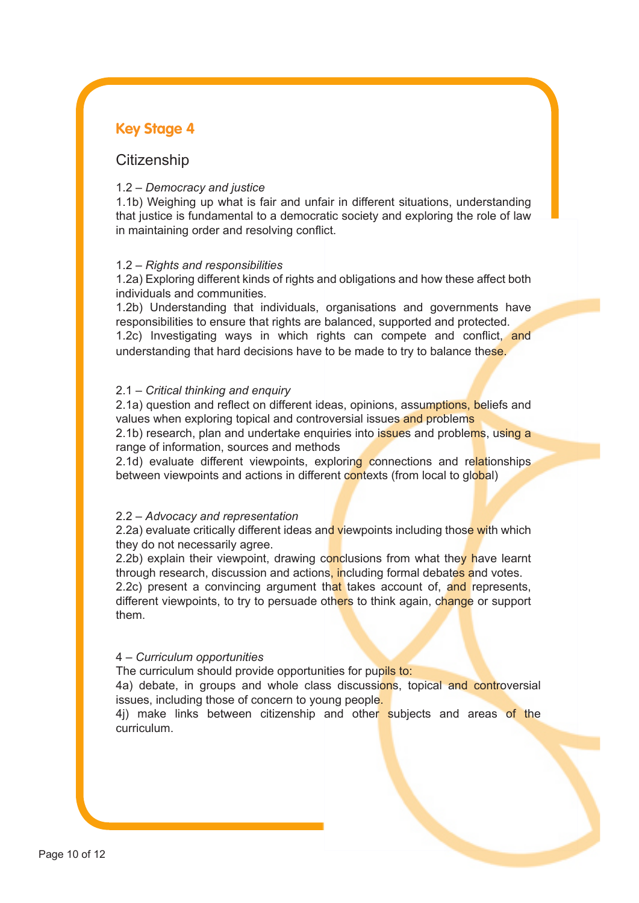# **Key Stage 4**

# **Citizenship**

#### 1.2 – *Democracy and justice*

1.1b) Weighing up what is fair and unfair in different situations, understanding that justice is fundamental to a democratic society and exploring the role of law in maintaining order and resolving conflict.

#### 1.2 – *Rights and responsibilities*

1.2a) Exploring different kinds of rights and obligations and how these affect both individuals and communities.

1.2b) Understanding that individuals, organisations and governments have responsibilities to ensure that rights are balanced, supported and protected. 1.2c) Investigating ways in which rights can compete and conflict, and understanding that hard decisions have to be made to try to balance these.

#### 2.1 – *Critical thinking and enquiry*

2.1a) question and reflect on different ideas, opinions, assumptions, beliefs and values when exploring topical and controversial issues and problems 2.1b) research, plan and undertake enquiries into issues and problems, using a

range of information, sources and methods 2.1d) evaluate different viewpoints, exploring connections and relationships

between viewpoints and actions in different contexts (from local to global)

#### 2.2 – *Advocacy and representation*

2.2a) evaluate critically different ideas and viewpoints including those with which they do not necessarily agree.

2.2b) explain their viewpoint, drawing conclusions from what they have learnt through research, discussion and actions, including formal debates and votes. 2.2c) present a convincing argument that takes account of, and represents, different viewpoints, to try to persuade others to think again, change or support them.

#### 4 – *Curriculum opportunities*

The curriculum should provide opportunities for pupils to:

4a) debate, in groups and whole class discussions, topical and controversial issues, including those of concern to young people.

4j) make links between citizenship and other subjects and areas of the curriculum.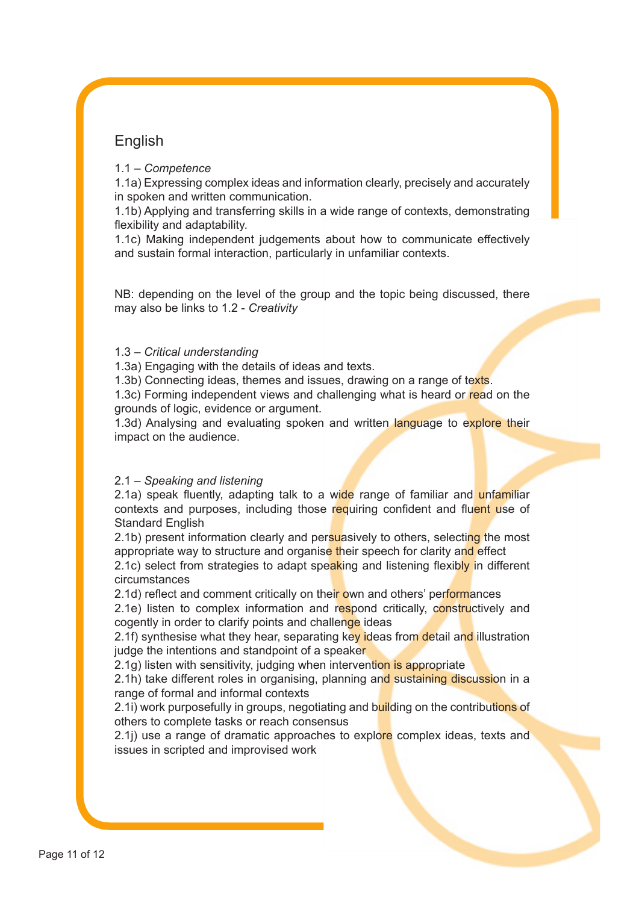# English

# 1.1 – *Competence*

1.1a) Expressing complex ideas and information clearly, precisely and accurately in spoken and written communication.

1.1b) Applying and transferring skills in a wide range of contexts, demonstrating flexibility and adaptability.

1.1c) Making independent judgements about how to communicate effectively and sustain formal interaction, particularly in unfamiliar contexts.

NB: depending on the level of the group and the topic being discussed, there may also be links to 1.2 - *Creativity*

## 1.3 – *Critical understanding*

1.3a) Engaging with the details of ideas and texts.

1.3b) Connecting ideas, themes and issues, drawing on a range of texts.

1.3c) Forming independent views and challenging what is heard or read on the grounds of logic, evidence or argument.

1.3d) Analysing and evaluating spoken and written language to explore their impact on the audience.

## 2.1 – *Speaking and listening*

2.1a) speak fluently, adapting talk to a wide range of familiar and unfamiliar contexts and purposes, including those requiring confident and fluent use of Standard English

2.1b) present information clearly and persuasively to others, selecting the most appropriate way to structure and organise their speech for clarity and effect 2.1c) select from strategies to adapt speaking and listening flexibly in different circumstances

2.1d) reflect and comment critically on their own and others' performances 2.1e) listen to complex information and respond critically, constructively and cogently in order to clarify points and challenge ideas

2.1f) synthesise what they hear, separating key ideas from detail and illustration judge the intentions and standpoint of a speaker

2.1g) listen with sensitivity, judging when intervention is appropriate

2.1h) take different roles in organising, planning and sustaining discussion in a range of formal and informal contexts

2.1i) work purposefully in groups, negotiating and building on the contributions of others to complete tasks or reach consensus

2.1j) use a range of dramatic approaches to explore complex ideas, texts and issues in scripted and improvised work